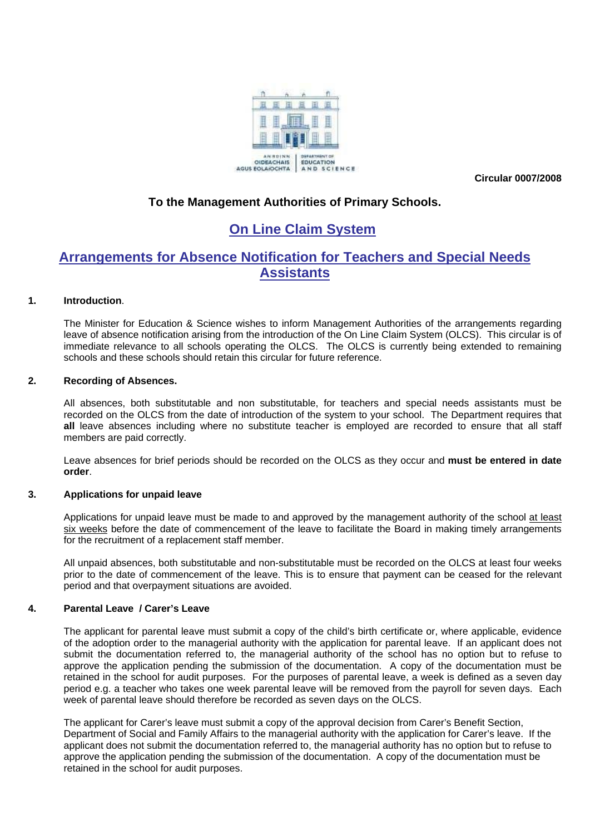

**Circular 0007/2008** 

### **To the Management Authorities of Primary Schools.**

# **On Line Claim System**

## **Arrangements for Absence Notification for Teachers and Special Needs Assistants**

#### **1. Introduction**.

The Minister for Education & Science wishes to inform Management Authorities of the arrangements regarding leave of absence notification arising from the introduction of the On Line Claim System (OLCS). This circular is of immediate relevance to all schools operating the OLCS. The OLCS is currently being extended to remaining schools and these schools should retain this circular for future reference.

#### **2. Recording of Absences.**

All absences, both substitutable and non substitutable, for teachers and special needs assistants must be recorded on the OLCS from the date of introduction of the system to your school. The Department requires that **all** leave absences including where no substitute teacher is employed are recorded to ensure that all staff members are paid correctly.

Leave absences for brief periods should be recorded on the OLCS as they occur and **must be entered in date order**.

#### **3. Applications for unpaid leave**

Applications for unpaid leave must be made to and approved by the management authority of the school at least six weeks before the date of commencement of the leave to facilitate the Board in making timely arrangements for the recruitment of a replacement staff member.

All unpaid absences, both substitutable and non-substitutable must be recorded on the OLCS at least four weeks prior to the date of commencement of the leave. This is to ensure that payment can be ceased for the relevant period and that overpayment situations are avoided.

#### **4. Parental Leave / Carer's Leave**

The applicant for parental leave must submit a copy of the child's birth certificate or, where applicable, evidence of the adoption order to the managerial authority with the application for parental leave. If an applicant does not submit the documentation referred to, the managerial authority of the school has no option but to refuse to approve the application pending the submission of the documentation. A copy of the documentation must be retained in the school for audit purposes. For the purposes of parental leave, a week is defined as a seven day period e.g. a teacher who takes one week parental leave will be removed from the payroll for seven days. Each week of parental leave should therefore be recorded as seven days on the OLCS.

The applicant for Carer's leave must submit a copy of the approval decision from Carer's Benefit Section, Department of Social and Family Affairs to the managerial authority with the application for Carer's leave. If the applicant does not submit the documentation referred to, the managerial authority has no option but to refuse to approve the application pending the submission of the documentation. A copy of the documentation must be retained in the school for audit purposes.